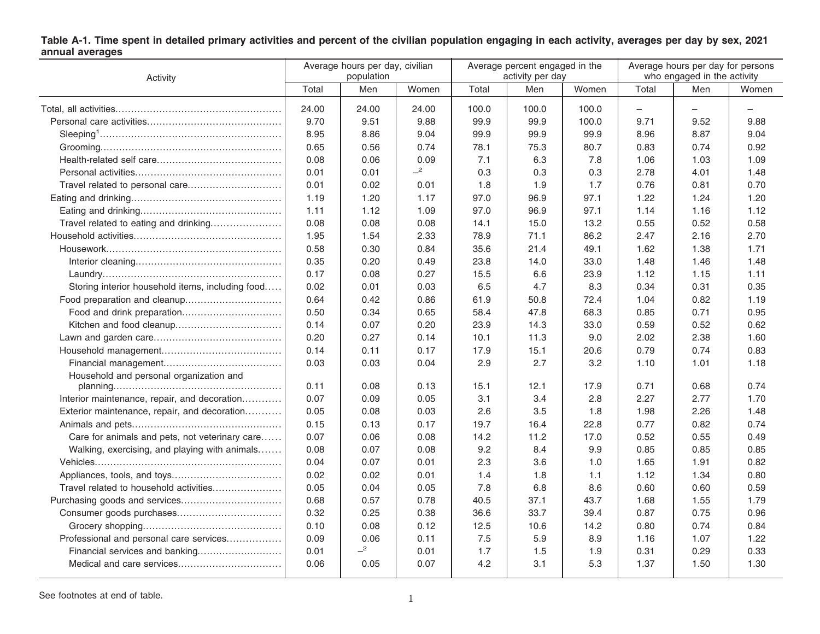| Activity                                         | Average hours per day, civilian<br>population |       |       |       | Average percent engaged in the<br>activity per day |       | Average hours per day for persons<br>who engaged in the activity |      |       |
|--------------------------------------------------|-----------------------------------------------|-------|-------|-------|----------------------------------------------------|-------|------------------------------------------------------------------|------|-------|
|                                                  | Total                                         | Men   | Women | Total | Men                                                | Women | Total                                                            | Men  | Women |
|                                                  | 24.00                                         | 24.00 | 24.00 | 100.0 | 100.0                                              | 100.0 | $\overline{\phantom{0}}$                                         |      |       |
|                                                  | 9.70                                          | 9.51  | 9.88  | 99.9  | 99.9                                               | 100.0 | 9.71                                                             | 9.52 | 9.88  |
|                                                  | 8.95                                          | 8.86  | 9.04  | 99.9  | 99.9                                               | 99.9  | 8.96                                                             | 8.87 | 9.04  |
|                                                  | 0.65                                          | 0.56  | 0.74  | 78.1  | 75.3                                               | 80.7  | 0.83                                                             | 0.74 | 0.92  |
|                                                  | 0.08                                          | 0.06  | 0.09  | 7.1   | 6.3                                                | 7.8   | 1.06                                                             | 1.03 | 1.09  |
|                                                  | 0.01                                          | 0.01  | $-2$  | 0.3   | 0.3                                                | 0.3   | 2.78                                                             | 4.01 | 1.48  |
|                                                  | 0.01                                          | 0.02  | 0.01  | 1.8   | 1.9                                                | 1.7   | 0.76                                                             | 0.81 | 0.70  |
|                                                  | 1.19                                          | 1.20  | 1.17  | 97.0  | 96.9                                               | 97.1  | 1.22                                                             | 1.24 | 1.20  |
|                                                  | 1.11                                          | 1.12  | 1.09  | 97.0  | 96.9                                               | 97.1  | 1.14                                                             | 1.16 | 1.12  |
| Travel related to eating and drinking            | 0.08                                          | 0.08  | 0.08  | 14.1  | 15.0                                               | 13.2  | 0.55                                                             | 0.52 | 0.58  |
|                                                  | 1.95                                          | 1.54  | 2.33  | 78.9  | 71.1                                               | 86.2  | 2.47                                                             | 2.16 | 2.70  |
|                                                  | 0.58                                          | 0.30  | 0.84  | 35.6  | 21.4                                               | 49.1  | 1.62                                                             | 1.38 | 1.71  |
|                                                  | 0.35                                          | 0.20  | 0.49  | 23.8  | 14.0                                               | 33.0  | 1.48                                                             | 1.46 | 1.48  |
|                                                  | 0.17                                          | 0.08  | 0.27  | 15.5  | 6.6                                                | 23.9  | 1.12                                                             | 1.15 | 1.11  |
| Storing interior household items, including food | 0.02                                          | 0.01  | 0.03  | 6.5   | 4.7                                                | 8.3   | 0.34                                                             | 0.31 | 0.35  |
| Food preparation and cleanup                     | 0.64                                          | 0.42  | 0.86  | 61.9  | 50.8                                               | 72.4  | 1.04                                                             | 0.82 | 1.19  |
|                                                  | 0.50                                          | 0.34  | 0.65  | 58.4  | 47.8                                               | 68.3  | 0.85                                                             | 0.71 | 0.95  |
|                                                  | 0.14                                          | 0.07  | 0.20  | 23.9  | 14.3                                               | 33.0  | 0.59                                                             | 0.52 | 0.62  |
|                                                  | 0.20                                          | 0.27  | 0.14  | 10.1  | 11.3                                               | 9.0   | 2.02                                                             | 2.38 | 1.60  |
|                                                  | 0.14                                          | 0.11  | 0.17  | 17.9  | 15.1                                               | 20.6  | 0.79                                                             | 0.74 | 0.83  |
|                                                  | 0.03                                          | 0.03  | 0.04  | 2.9   | 2.7                                                | 3.2   | 1.10                                                             | 1.01 | 1.18  |
| Household and personal organization and          |                                               |       |       |       |                                                    |       |                                                                  |      |       |
|                                                  | 0.11                                          | 0.08  | 0.13  | 15.1  | 12.1                                               | 17.9  | 0.71                                                             | 0.68 | 0.74  |
| Interior maintenance, repair, and decoration     | 0.07                                          | 0.09  | 0.05  | 3.1   | 3.4                                                | 2.8   | 2.27                                                             | 2.77 | 1.70  |
| Exterior maintenance, repair, and decoration     | 0.05                                          | 0.08  | 0.03  | 2.6   | 3.5                                                | 1.8   | 1.98                                                             | 2.26 | 1.48  |
|                                                  | 0.15                                          | 0.13  | 0.17  | 19.7  | 16.4                                               | 22.8  | 0.77                                                             | 0.82 | 0.74  |
| Care for animals and pets, not veterinary care   | 0.07                                          | 0.06  | 0.08  | 14.2  | 11.2                                               | 17.0  | 0.52                                                             | 0.55 | 0.49  |
| Walking, exercising, and playing with animals    | 0.08                                          | 0.07  | 0.08  | 9.2   | 8.4                                                | 9.9   | 0.85                                                             | 0.85 | 0.85  |
|                                                  | 0.04                                          | 0.07  | 0.01  | 2.3   | 3.6                                                | 1.0   | 1.65                                                             | 1.91 | 0.82  |
|                                                  | 0.02                                          | 0.02  | 0.01  | 1.4   | 1.8                                                | 1.1   | 1.12                                                             | 1.34 | 0.80  |
|                                                  | 0.05                                          | 0.04  | 0.05  | 7.8   | 6.8                                                | 8.6   | 0.60                                                             | 0.60 | 0.59  |
|                                                  | 0.68                                          | 0.57  | 0.78  | 40.5  | 37.1                                               | 43.7  | 1.68                                                             | 1.55 | 1.79  |
|                                                  | 0.32                                          | 0.25  | 0.38  | 36.6  | 33.7                                               | 39.4  | 0.87                                                             | 0.75 | 0.96  |
|                                                  | 0.10                                          | 0.08  | 0.12  | 12.5  | 10.6                                               | 14.2  | 0.80                                                             | 0.74 | 0.84  |
| Professional and personal care services          | 0.09                                          | 0.06  | 0.11  | 7.5   | 5.9                                                | 8.9   | 1.16                                                             | 1.07 | 1.22  |
| Financial services and banking                   | 0.01                                          | $-2$  | 0.01  | 1.7   | 1.5                                                | 1.9   | 0.31                                                             | 0.29 | 0.33  |
|                                                  | 0.06                                          | 0.05  | 0.07  | 4.2   | 3.1                                                | 5.3   | 1.37                                                             | 1.50 | 1.30  |

## Table A-1. Time spent in detailed primary activities and percent of the civilian population engaging in each activity, averages per day by sex, 2021<br>annual averages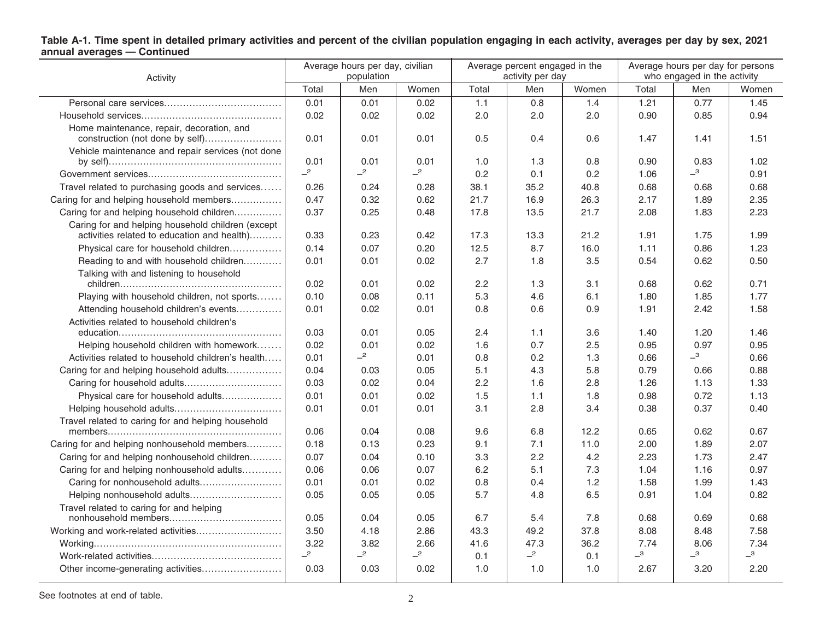## Table A-1. Time spent in detailed primary activities and percent of the civilian population engaging in each activity, averages per day by sex, 2021<br>annual averages — Continued

| Activity                                                                     | Average hours per day, civilian<br>population |      |       | Average percent engaged in the<br>activity per day |      |       | Average hours per day for persons<br>who engaged in the activity |                            |                            |
|------------------------------------------------------------------------------|-----------------------------------------------|------|-------|----------------------------------------------------|------|-------|------------------------------------------------------------------|----------------------------|----------------------------|
|                                                                              | Total                                         | Men  | Women | Total                                              | Men  | Women | Total                                                            | Men                        | Women                      |
|                                                                              | 0.01                                          | 0.01 | 0.02  | 1.1                                                | 0.8  | 1.4   | 1.21                                                             | 0.77                       | 1.45                       |
|                                                                              | 0.02                                          | 0.02 | 0.02  | 2.0                                                | 2.0  | 2.0   | 0.90                                                             | 0.85                       | 0.94                       |
| Home maintenance, repair, decoration, and<br>construction (not done by self) | 0.01                                          | 0.01 | 0.01  | 0.5                                                | 0.4  | 0.6   | 1.47                                                             | 1.41                       | 1.51                       |
| Vehicle maintenance and repair services (not done                            | 0.01                                          | 0.01 | 0.01  | 1.0                                                | 1.3  | 0.8   | 0.90                                                             | 0.83                       | 1.02                       |
|                                                                              | $-2$                                          | $-2$ | $-2$  | 0.2                                                | 0.1  | 0.2   | 1.06                                                             | $\overline{\phantom{0}}^3$ | 0.91                       |
| Travel related to purchasing goods and services                              | 0.26                                          | 0.24 | 0.28  | 38.1                                               | 35.2 | 40.8  | 0.68                                                             | 0.68                       | 0.68                       |
| Caring for and helping household members                                     | 0.47                                          | 0.32 | 0.62  | 21.7                                               | 16.9 | 26.3  | 2.17                                                             | 1.89                       | 2.35                       |
| Caring for and helping household children                                    | 0.37                                          | 0.25 | 0.48  | 17.8                                               | 13.5 | 21.7  | 2.08                                                             | 1.83                       | 2.23                       |
| Caring for and helping household children (except                            |                                               |      |       |                                                    |      |       |                                                                  |                            |                            |
| activities related to education and health)                                  | 0.33                                          | 0.23 | 0.42  | 17.3                                               | 13.3 | 21.2  | 1.91                                                             | 1.75                       | 1.99                       |
| Physical care for household children                                         | 0.14                                          | 0.07 | 0.20  | 12.5                                               | 8.7  | 16.0  | 1.11                                                             | 0.86                       | 1.23                       |
| Reading to and with household children                                       | 0.01                                          | 0.01 | 0.02  | 2.7                                                | 1.8  | 3.5   | 0.54                                                             | 0.62                       | 0.50                       |
| Talking with and listening to household                                      |                                               |      |       |                                                    |      |       |                                                                  |                            |                            |
|                                                                              | 0.02                                          | 0.01 | 0.02  | 2.2                                                | 1.3  | 3.1   | 0.68                                                             | 0.62                       | 0.71                       |
| Playing with household children, not sports                                  | 0.10                                          | 0.08 | 0.11  | 5.3                                                | 4.6  | 6.1   | 1.80                                                             | 1.85                       | 1.77                       |
| Attending household children's events                                        | 0.01                                          | 0.02 | 0.01  | 0.8                                                | 0.6  | 0.9   | 1.91                                                             | 2.42                       | 1.58                       |
| Activities related to household children's                                   |                                               |      |       |                                                    |      |       |                                                                  |                            |                            |
|                                                                              | 0.03                                          | 0.01 | 0.05  | 2.4                                                | 1.1  | 3.6   | 1.40                                                             | 1.20                       | 1.46                       |
| Helping household children with homework                                     | 0.02                                          | 0.01 | 0.02  | 1.6                                                | 0.7  | 2.5   | 0.95                                                             | 0.97                       | 0.95                       |
| Activities related to household children's health                            | 0.01                                          | $-2$ | 0.01  | 0.8                                                | 0.2  | 1.3   | 0.66                                                             | $-3$                       | 0.66                       |
| Caring for and helping household adults                                      | 0.04                                          | 0.03 | 0.05  | 5.1                                                | 4.3  | 5.8   | 0.79                                                             | 0.66                       | 0.88                       |
|                                                                              | 0.03                                          | 0.02 | 0.04  | 2.2                                                | 1.6  | 2.8   | 1.26                                                             | 1.13                       | 1.33                       |
| Physical care for household adults                                           | 0.01                                          | 0.01 | 0.02  | 1.5                                                | 1.1  | 1.8   | 0.98                                                             | 0.72                       | 1.13                       |
|                                                                              | 0.01                                          | 0.01 | 0.01  | 3.1                                                | 2.8  | 3.4   | 0.38                                                             | 0.37                       | 0.40                       |
| Travel related to caring for and helping household                           |                                               |      |       |                                                    |      |       |                                                                  |                            |                            |
|                                                                              | 0.06                                          | 0.04 | 0.08  | 9.6                                                | 6.8  | 12.2  | 0.65                                                             | 0.62                       | 0.67                       |
| Caring for and helping nonhousehold members                                  | 0.18                                          | 0.13 | 0.23  | 9.1                                                | 7.1  | 11.0  | 2.00                                                             | 1.89                       | 2.07                       |
| Caring for and helping nonhousehold children                                 | 0.07                                          | 0.04 | 0.10  | 3.3                                                | 2.2  | 4.2   | 2.23                                                             | 1.73                       | 2.47                       |
| Caring for and helping nonhousehold adults                                   | 0.06                                          | 0.06 | 0.07  | 6.2                                                | 5.1  | 7.3   | 1.04                                                             | 1.16                       | 0.97                       |
| Caring for nonhousehold adults                                               | 0.01                                          | 0.01 | 0.02  | 0.8                                                | 0.4  | 1.2   | 1.58                                                             | 1.99                       | 1.43                       |
|                                                                              | 0.05                                          | 0.05 | 0.05  | 5.7                                                | 4.8  | 6.5   | 0.91                                                             | 1.04                       | 0.82                       |
| Travel related to caring for and helping                                     | 0.05                                          | 0.04 | 0.05  | 6.7                                                | 5.4  | 7.8   | 0.68                                                             | 0.69                       | 0.68                       |
|                                                                              | 3.50                                          | 4.18 | 2.86  | 43.3                                               | 49.2 | 37.8  | 8.08                                                             | 8.48                       | 7.58                       |
|                                                                              | 3.22                                          | 3.82 | 2.66  | 41.6                                               | 47.3 | 36.2  | 7.74                                                             | 8.06                       | 7.34                       |
|                                                                              | $-2$                                          | $-2$ | $-2$  | 0.1                                                | $-2$ | 0.1   | $-3$                                                             | $-3$                       | $\overline{\phantom{0}}^3$ |
| Other income-generating activities                                           | 0.03                                          | 0.03 | 0.02  | 1.0                                                | 1.0  | 1.0   | 2.67                                                             | 3.20                       | 2.20                       |
|                                                                              |                                               |      |       |                                                    |      |       |                                                                  |                            |                            |

See footnotes at end of table. 2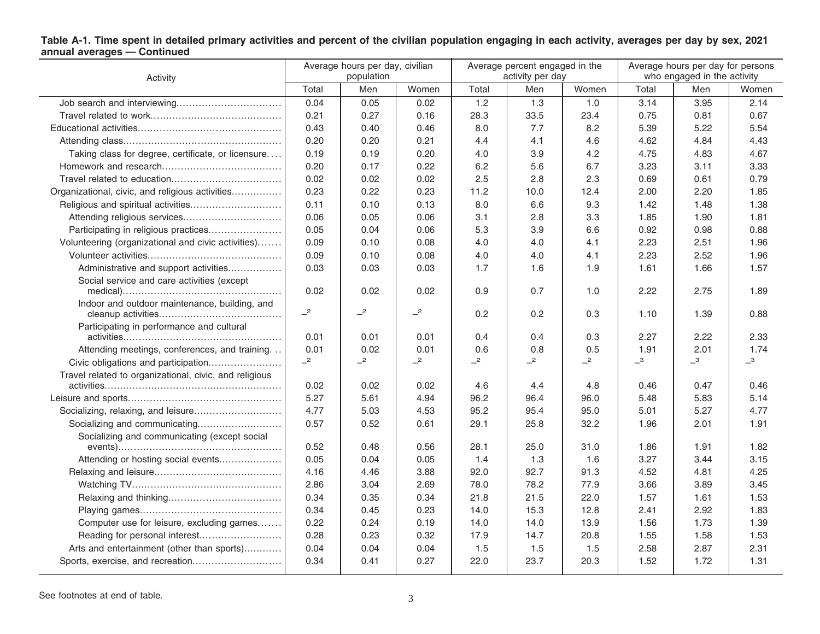## Table A-1. Time spent in detailed primary activities and percent of the civilian population engaging in each activity, averages per day by sex, 2021<br>annual averages — Continued

| Activity                                               | Average hours per day, civilian<br>population |      |       | Average percent engaged in the<br>activity per day |      |       | Average hours per day for persons<br>who engaged in the activity |      |       |
|--------------------------------------------------------|-----------------------------------------------|------|-------|----------------------------------------------------|------|-------|------------------------------------------------------------------|------|-------|
|                                                        | Total                                         | Men  | Women | Total                                              | Men  | Women | Total                                                            | Men  | Women |
|                                                        | 0.04                                          | 0.05 | 0.02  | 1.2                                                | 1.3  | 1.0   | 3.14                                                             | 3.95 | 2.14  |
|                                                        | 0.21                                          | 0.27 | 0.16  | 28.3                                               | 33.5 | 23.4  | 0.75                                                             | 0.81 | 0.67  |
|                                                        | 0.43                                          | 0.40 | 0.46  | 8.0                                                | 7.7  | 8.2   | 5.39                                                             | 5.22 | 5.54  |
|                                                        | 0.20                                          | 0.20 | 0.21  | 4.4                                                | 4.1  | 4.6   | 4.62                                                             | 4.84 | 4.43  |
| Taking class for degree, certificate, or licensure     | 0.19                                          | 0.19 | 0.20  | 4.0                                                | 3.9  | 4.2   | 4.75                                                             | 4.83 | 4.67  |
|                                                        | 0.20                                          | 0.17 | 0.22  | 6.2                                                | 5.6  | 6.7   | 3.23                                                             | 3.11 | 3.33  |
|                                                        | 0.02                                          | 0.02 | 0.02  | 2.5                                                | 2.8  | 2.3   | 0.69                                                             | 0.61 | 0.79  |
| Organizational, civic, and religious activities        | 0.23                                          | 0.22 | 0.23  | 11.2                                               | 10.0 | 12.4  | 2.00                                                             | 2.20 | 1.85  |
|                                                        | 0.11                                          | 0.10 | 0.13  | 8.0                                                | 6.6  | 9.3   | 1.42                                                             | 1.48 | 1.38  |
| Attending religious services                           | 0.06                                          | 0.05 | 0.06  | 3.1                                                | 2.8  | 3.3   | 1.85                                                             | 1.90 | 1.81  |
| Participating in religious practices                   | 0.05                                          | 0.04 | 0.06  | 5.3                                                | 3.9  | 6.6   | 0.92                                                             | 0.98 | 0.88  |
| Volunteering (organizational and civic activities)     | 0.09                                          | 0.10 | 0.08  | 4.0                                                | 4.0  | 4.1   | 2.23                                                             | 2.51 | 1.96  |
|                                                        | 0.09                                          | 0.10 | 0.08  | 4.0                                                | 4.0  | 4.1   | 2.23                                                             | 2.52 | 1.96  |
| Administrative and support activities                  | 0.03                                          | 0.03 | 0.03  | 1.7                                                | 1.6  | 1.9   | 1.61                                                             | 1.66 | 1.57  |
| Social service and care activities (except             |                                               |      |       |                                                    |      |       |                                                                  |      |       |
|                                                        | 0.02                                          | 0.02 | 0.02  | 0.9                                                | 0.7  | 1.0   | 2.22                                                             | 2.75 | 1.89  |
| Indoor and outdoor maintenance, building, and          | $-2$                                          | $-2$ | $-2$  | 0.2                                                | 0.2  | 0.3   | 1.10                                                             | 1.39 | 0.88  |
| Participating in performance and cultural              | 0.01                                          | 0.01 | 0.01  | 0.4                                                | 0.4  | 0.3   | 2.27                                                             | 2.22 | 2.33  |
| Attending meetings, conferences, and training.         | 0.01                                          | 0.02 | 0.01  | 0.6                                                | 0.8  | 0.5   | 1.91                                                             | 2.01 | 1.74  |
| Civic obligations and participation                    | $-2$                                          | $-2$ | $-2$  | $-2$                                               | $-2$ | $-2$  | $-3$                                                             | $-3$ | $-3$  |
| Travel related to organizational, civic, and religious |                                               |      |       |                                                    |      |       |                                                                  |      |       |
|                                                        | 0.02                                          | 0.02 | 0.02  | 4.6                                                | 4.4  | 4.8   | 0.46                                                             | 0.47 | 0.46  |
|                                                        | 5.27                                          | 5.61 | 4.94  | 96.2                                               | 96.4 | 96.0  | 5.48                                                             | 5.83 | 5.14  |
|                                                        | 4.77                                          | 5.03 | 4.53  | 95.2                                               | 95.4 | 95.0  | 5.01                                                             | 5.27 | 4.77  |
|                                                        | 0.57                                          | 0.52 | 0.61  | 29.1                                               | 25.8 | 32.2  | 1.96                                                             | 2.01 | 1.91  |
| Socializing and communicating (except social           |                                               |      |       |                                                    |      |       |                                                                  |      |       |
|                                                        | 0.52                                          | 0.48 | 0.56  | 28.1                                               | 25.0 | 31.0  | 1.86                                                             | 1.91 | 1.82  |
| Attending or hosting social events                     | 0.05                                          | 0.04 | 0.05  | 1.4                                                | 1.3  | 1.6   | 3.27                                                             | 3.44 | 3.15  |
|                                                        | 4.16                                          | 4.46 | 3.88  | 92.0                                               | 92.7 | 91.3  | 4.52                                                             | 4.81 | 4.25  |
|                                                        | 2.86                                          | 3.04 | 2.69  | 78.0                                               | 78.2 | 77.9  | 3.66                                                             | 3.89 | 3.45  |
|                                                        | 0.34                                          | 0.35 | 0.34  | 21.8                                               | 21.5 | 22.0  | 1.57                                                             | 1.61 | 1.53  |
|                                                        | 0.34                                          | 0.45 | 0.23  | 14.0                                               | 15.3 | 12.8  | 2.41                                                             | 2.92 | 1.83  |
| Computer use for leisure, excluding games              | 0.22                                          | 0.24 | 0.19  | 14.0                                               | 14.0 | 13.9  | 1.56                                                             | 1.73 | 1.39  |
| Reading for personal interest                          | 0.28                                          | 0.23 | 0.32  | 17.9                                               | 14.7 | 20.8  | 1.55                                                             | 1.58 | 1.53  |
| Arts and entertainment (other than sports)             | 0.04                                          | 0.04 | 0.04  | 1.5                                                | 1.5  | 1.5   | 2.58                                                             | 2.87 | 2.31  |
|                                                        | 0.34                                          | 0.41 | 0.27  | 22.0                                               | 23.7 | 20.3  | 1.52                                                             | 1.72 | 1.31  |